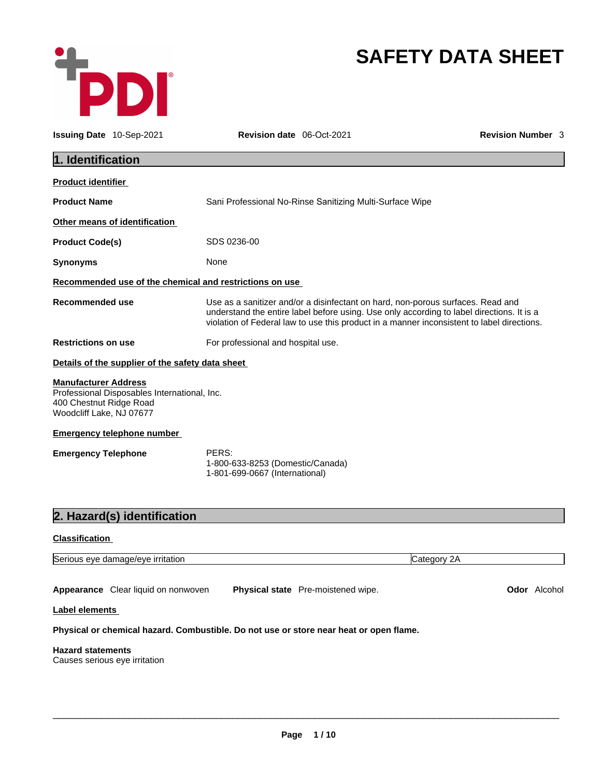

# **SAFETY DATA SHEET**

| Issuing Date 10-Sep-2021                                                           |                                                  | <b>Revision date</b> 06-Oct-2021                                                                                                                                                                                                                                           | <b>Revision Number 3</b> |  |  |  |
|------------------------------------------------------------------------------------|--------------------------------------------------|----------------------------------------------------------------------------------------------------------------------------------------------------------------------------------------------------------------------------------------------------------------------------|--------------------------|--|--|--|
| 1. Identification                                                                  |                                                  |                                                                                                                                                                                                                                                                            |                          |  |  |  |
| <b>Product identifier</b>                                                          |                                                  |                                                                                                                                                                                                                                                                            |                          |  |  |  |
| <b>Product Name</b>                                                                |                                                  | Sani Professional No-Rinse Sanitizing Multi-Surface Wipe                                                                                                                                                                                                                   |                          |  |  |  |
|                                                                                    | Other means of identification                    |                                                                                                                                                                                                                                                                            |                          |  |  |  |
| <b>Product Code(s)</b>                                                             |                                                  | SDS 0236-00                                                                                                                                                                                                                                                                |                          |  |  |  |
| <b>Synonyms</b>                                                                    |                                                  | None                                                                                                                                                                                                                                                                       |                          |  |  |  |
|                                                                                    |                                                  | Recommended use of the chemical and restrictions on use                                                                                                                                                                                                                    |                          |  |  |  |
| Recommended use                                                                    |                                                  | Use as a sanitizer and/or a disinfectant on hard, non-porous surfaces. Read and<br>understand the entire label before using. Use only according to label directions. It is a<br>violation of Federal law to use this product in a manner inconsistent to label directions. |                          |  |  |  |
| <b>Restrictions on use</b>                                                         |                                                  | For professional and hospital use.                                                                                                                                                                                                                                         |                          |  |  |  |
|                                                                                    | Details of the supplier of the safety data sheet |                                                                                                                                                                                                                                                                            |                          |  |  |  |
| <b>Manufacturer Address</b><br>400 Chestnut Ridge Road<br>Woodcliff Lake, NJ 07677 | Professional Disposables International, Inc.     |                                                                                                                                                                                                                                                                            |                          |  |  |  |
|                                                                                    | <b>Emergency telephone number</b>                |                                                                                                                                                                                                                                                                            |                          |  |  |  |
| <b>Emergency Telephone</b>                                                         |                                                  | PERS:<br>1-800-633-8253 (Domestic/Canada)<br>1-801-699-0667 (International)                                                                                                                                                                                                |                          |  |  |  |
|                                                                                    | 2. Hazard(s) identification                      |                                                                                                                                                                                                                                                                            |                          |  |  |  |
| <b>Classification</b>                                                              |                                                  |                                                                                                                                                                                                                                                                            |                          |  |  |  |
|                                                                                    | Serious eye damage/eye irritation                |                                                                                                                                                                                                                                                                            | Category 2A              |  |  |  |
|                                                                                    | Appearance Clear liquid on nonwoven              | Physical state Pre-moistened wipe.                                                                                                                                                                                                                                         | Odor Alcohol             |  |  |  |
| Label elements                                                                     |                                                  |                                                                                                                                                                                                                                                                            |                          |  |  |  |
|                                                                                    |                                                  | Physical or chemical hazard. Combustible. Do not use or store near heat or open flame.                                                                                                                                                                                     |                          |  |  |  |
| <b>Hazard statements</b><br>Causes serious eye irritation                          |                                                  |                                                                                                                                                                                                                                                                            |                          |  |  |  |
|                                                                                    |                                                  |                                                                                                                                                                                                                                                                            |                          |  |  |  |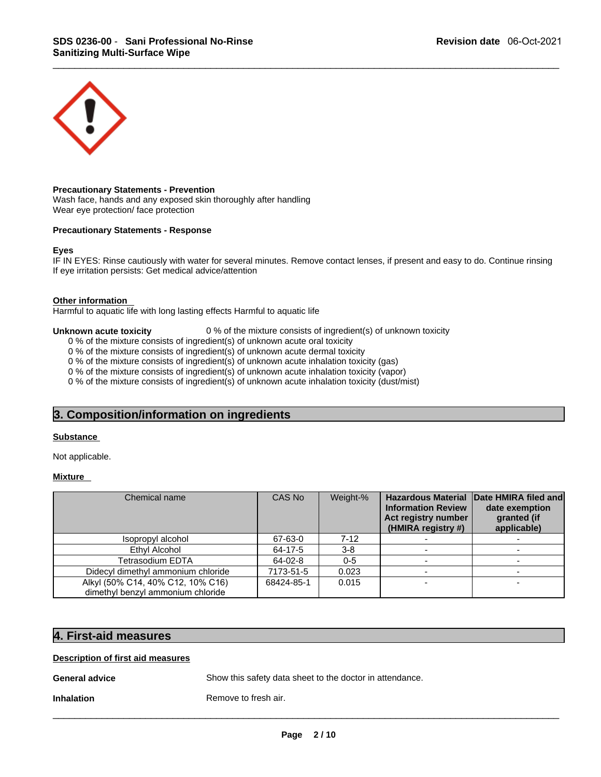

# **Precautionary Statements - Prevention**

Wash face, hands and any exposed skin thoroughly after handling Wear eye protection/ face protection

# **Precautionary Statements - Response**

### **Eyes**

IF IN EYES: Rinse cautiously with water for several minutes. Remove contact lenses, if present and easy to do. Continue rinsing If eye irritation persists: Get medical advice/attention **Precautionary Statements - Response**<br> **Eyes**<br> **Eyes**<br> **IF** IN EYES: Rinse cautiously with water for several minutes. Remove contact lenses, if prese<br> **Other information**<br> **Alterminion**<br> **Alterminion**<br> **Alterminion**<br> **Othe** 

### **Other information**

Harmful to aquatic life with long lasting effects Harmful to aquatic life

**Unknown acute toxicity 0**% of the mixture consists of ingredient(s) of unknown toxicity

0 % of the mixture consists of ingredient(s) of unknown acute oral toxicity

0 % of the mixture consists of ingredient(s) of unknown acute dermal toxicity

0 % of the mixture consists of ingredient(s) of unknown acute inhalation toxicity (gas)

0 % of the mixture consists of ingredient(s) of unknown acute inhalation toxicity (vapor)

0 % of the mixture consists of ingredient(s) of unknown acute inhalation toxicity (dust/mist)

# **Substance**

# **Mixture**

| Chemical name                                                          | CAS No     | Weight-% | <b>Hazardous Material</b><br><b>Information Review</b><br>Act registry number<br>(HMIRA registry #) | Date HMIRA filed and<br>date exemption<br>granted (if<br>applicable) |
|------------------------------------------------------------------------|------------|----------|-----------------------------------------------------------------------------------------------------|----------------------------------------------------------------------|
| Isopropyl alcohol                                                      | 67-63-0    | $7-12$   |                                                                                                     |                                                                      |
| Ethyl Alcohol                                                          | 64-17-5    | $3-8$    |                                                                                                     |                                                                      |
| Tetrasodium EDTA                                                       | 64-02-8    | $0-5$    |                                                                                                     |                                                                      |
| Didecyl dimethyl ammonium chloride                                     | 7173-51-5  | 0.023    |                                                                                                     |                                                                      |
| Alkyl (50% C14, 40% C12, 10% C16)<br>dimethyl benzyl ammonium chloride | 68424-85-1 | 0.015    |                                                                                                     | ۰                                                                    |
| 4. First-aid measures                                                  |            |          |                                                                                                     |                                                                      |

# **Description of first aid measures**

**General advice Show this safety data sheet to the doctor in attendance.** 

**Inhalation Remove to fresh air.**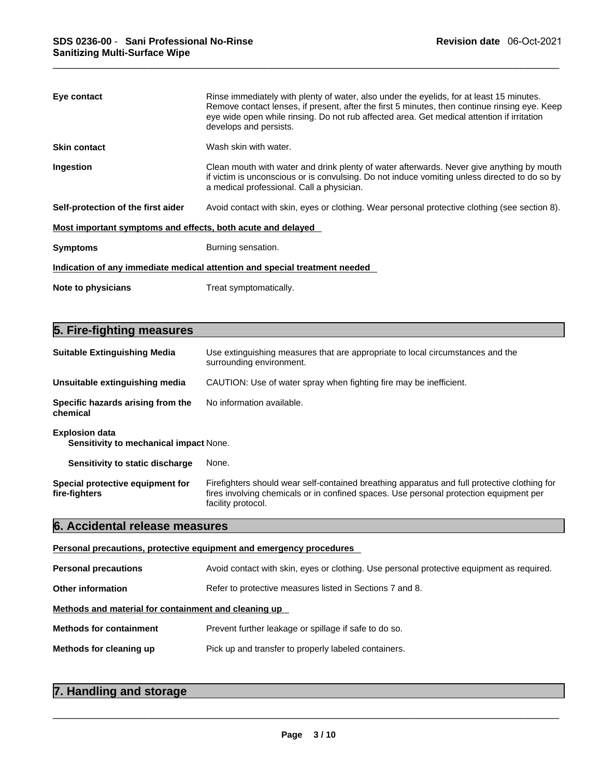| Eye contact                                                 | Rinse immediately with plenty of water, also under the eyelids, for at least 15 minutes.<br>Remove contact lenses, if present, after the first 5 minutes, then continue rinsing eye. Keep<br>eye wide open while rinsing. Do not rub affected area. Get medical attention if irritation<br>develops and persists. |  |  |
|-------------------------------------------------------------|-------------------------------------------------------------------------------------------------------------------------------------------------------------------------------------------------------------------------------------------------------------------------------------------------------------------|--|--|
| <b>Skin contact</b>                                         | Wash skin with water.                                                                                                                                                                                                                                                                                             |  |  |
| Ingestion                                                   | Clean mouth with water and drink plenty of water afterwards. Never give anything by mouth<br>if victim is unconscious or is convulsing. Do not induce vomiting unless directed to do so by<br>a medical professional. Call a physician.                                                                           |  |  |
| Self-protection of the first aider                          | Avoid contact with skin, eyes or clothing. Wear personal protective clothing (see section 8).                                                                                                                                                                                                                     |  |  |
| Most important symptoms and effects, both acute and delayed |                                                                                                                                                                                                                                                                                                                   |  |  |
| <b>Symptoms</b>                                             | Burning sensation.                                                                                                                                                                                                                                                                                                |  |  |
|                                                             | Indication of any immediate medical attention and special treatment needed                                                                                                                                                                                                                                        |  |  |
| Note to physicians                                          | Treat symptomatically.                                                                                                                                                                                                                                                                                            |  |  |
|                                                             |                                                                                                                                                                                                                                                                                                                   |  |  |
| 5. Fire-fighting measures                                   |                                                                                                                                                                                                                                                                                                                   |  |  |
| <b>Suitable Extinguishing Media</b>                         | Use extinguishing measures that are appropriate to local circumstances and the<br>surrounding environment.                                                                                                                                                                                                        |  |  |

| <b>Suitable Extinguishing Media</b>                                    | Use extinguishing measures that are appropriate to local circumstances and the<br>surrounding environment.                                                                                                   |  |  |  |
|------------------------------------------------------------------------|--------------------------------------------------------------------------------------------------------------------------------------------------------------------------------------------------------------|--|--|--|
| Unsuitable extinguishing media                                         | CAUTION: Use of water spray when fighting fire may be inefficient.                                                                                                                                           |  |  |  |
| Specific hazards arising from the<br>chemical                          | No information available.                                                                                                                                                                                    |  |  |  |
| <b>Explosion data</b><br><b>Sensitivity to mechanical impact None.</b> |                                                                                                                                                                                                              |  |  |  |
| Sensitivity to static discharge                                        | None.                                                                                                                                                                                                        |  |  |  |
| Special protective equipment for<br>fire-fighters                      | Firefighters should wear self-contained breathing apparatus and full protective clothing for<br>fires involving chemicals or in confined spaces. Use personal protection equipment per<br>facility protocol. |  |  |  |
| 6. Accidental release measures                                         |                                                                                                                                                                                                              |  |  |  |
| Personal precautions, protective equipment and emergency procedures    |                                                                                                                                                                                                              |  |  |  |
| <b>Personal precautions</b>                                            | Avoid contact with skin, eyes or clothing. Use personal protective equipment as required.                                                                                                                    |  |  |  |

| Personal precautions, protective equipment and emergency procedures |  |
|---------------------------------------------------------------------|--|
|---------------------------------------------------------------------|--|

|                                                      | Personal precautions, protective equipment and emergency procedures                       |  |
|------------------------------------------------------|-------------------------------------------------------------------------------------------|--|
| <b>Personal precautions</b>                          | Avoid contact with skin, eyes or clothing. Use personal protective equipment as required. |  |
| <b>Other information</b>                             | Refer to protective measures listed in Sections 7 and 8.                                  |  |
| Methods and material for containment and cleaning up |                                                                                           |  |
| <b>Methods for containment</b>                       | Prevent further leakage or spillage if safe to do so.                                     |  |
| Methods for cleaning up                              | Pick up and transfer to properly labeled containers.                                      |  |
| 7. Handling and storage                              |                                                                                           |  |

| 7. Handling and storage |  |
|-------------------------|--|
|                         |  |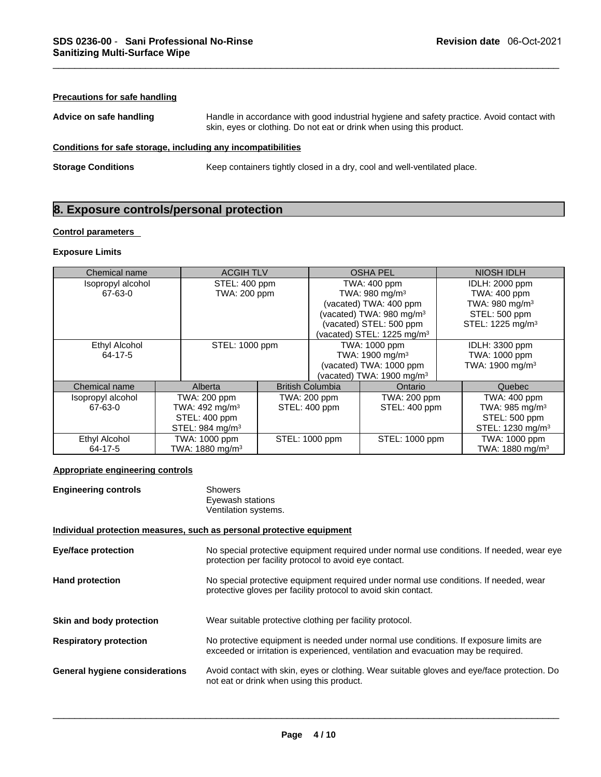# **Precautions for safe handling**

**Advice on safe handling** Handle in accordance with good industrial hygiene and safety practice. Avoid contact with skin, eyes or clothing. Do not eat or drink when using this product. **SDS 0236-00 - Sani Professional No-Rinse**<br> **Sanitizing Multi-Surface Wipe**<br>
<br> **Precautions for safe handling**<br>
<br> **Advice on safe handling**<br>
<br> **Exposure conditions**<br> **Exposure controls/personal protection**<br>
<br> **Exposure con** 

# **Conditions for safe storage, including any incompatibilities**

**Storage Conditions Keep containers tightly closed in a dry, cool and well-ventilated place.** 

### **Control parameters**

# **Exposure Limits**

| Chemical name                   |  | <b>ACGIH TLV</b>            |               | <b>OSHA PEL</b>                        |                                      | <b>NIOSH IDLH</b>            |
|---------------------------------|--|-----------------------------|---------------|----------------------------------------|--------------------------------------|------------------------------|
| Isopropyl alcohol               |  | STEL: 400 ppm               |               | TWA: 400 ppm                           |                                      | IDLH: 2000 ppm               |
| 67-63-0                         |  | TWA: 200 ppm                |               | TWA: $980 \text{ mg/m}^3$              |                                      | TWA: 400 ppm                 |
|                                 |  |                             |               | (vacated) TWA: 400 ppm                 |                                      | TWA: 980 mg/m <sup>3</sup>   |
|                                 |  |                             |               | (vacated) TWA: 980 mg/m <sup>3</sup>   |                                      | STEL: 500 ppm                |
|                                 |  |                             |               | (vacated) STEL: 500 ppm                |                                      | STEL: 1225 mg/m <sup>3</sup> |
|                                 |  |                             |               | (vacated) STEL: 1225 mg/m <sup>3</sup> |                                      |                              |
| Ethyl Alcohol<br>STEL: 1000 ppm |  |                             | TWA: 1000 ppm |                                        | IDLH: 3300 ppm                       |                              |
| 64-17-5                         |  |                             |               |                                        | TWA: 1900 mg/m <sup>3</sup>          | TWA: 1000 ppm                |
|                                 |  |                             |               |                                        | (vacated) TWA: 1000 ppm              | TWA: 1900 mg/m <sup>3</sup>  |
|                                 |  |                             |               |                                        | (vacated) TWA: $1900 \text{ mg/m}^3$ |                              |
| Chemical name                   |  | Alberta                     |               | <b>British Columbia</b>                | Ontario                              | Quebec                       |
| Isopropyl alcohol               |  | TWA: 200 ppm                |               | TWA: 200 ppm                           | TWA: 200 ppm                         | <b>TWA: 400 ppm</b>          |
| 67-63-0                         |  | TWA: 492 mg/m <sup>3</sup>  |               | STEL: 400 ppm                          | STEL: 400 ppm                        | TWA: $985 \text{ mg/m}^3$    |
|                                 |  | STEL: 400 ppm               |               |                                        |                                      | STEL: 500 ppm                |
|                                 |  | STEL: 984 mg/m <sup>3</sup> |               |                                        |                                      | STEL: 1230 mg/m <sup>3</sup> |
| Ethyl Alcohol                   |  | TWA: 1000 ppm               |               | STEL: 1000 ppm                         | STEL: 1000 ppm                       | TWA: 1000 ppm                |
| 64-17-5                         |  | TWA: 1880 mg/m <sup>3</sup> |               |                                        |                                      | TWA: 1880 mg/m <sup>3</sup>  |

# **Appropriate engineering controls**

| <b>Engineering controls</b>                                           | <b>Showers</b><br>Eyewash stations<br>Ventilation systems.                                                                                                                  |
|-----------------------------------------------------------------------|-----------------------------------------------------------------------------------------------------------------------------------------------------------------------------|
| Individual protection measures, such as personal protective equipment |                                                                                                                                                                             |
| <b>Eye/face protection</b>                                            | No special protective equipment required under normal use conditions. If needed, wear eye<br>protection per facility protocol to avoid eye contact.                         |
| <b>Hand protection</b>                                                | No special protective equipment required under normal use conditions. If needed, wear<br>protective gloves per facility protocol to avoid skin contact.                     |
| Skin and body protection                                              | Wear suitable protective clothing per facility protocol.                                                                                                                    |
| <b>Respiratory protection</b>                                         | No protective equipment is needed under normal use conditions. If exposure limits are<br>exceeded or irritation is experienced, ventilation and evacuation may be required. |
| <b>General hygiene considerations</b>                                 | Avoid contact with skin, eyes or clothing. Wear suitable gloves and eye/face protection. Do<br>not eat or drink when using this product.                                    |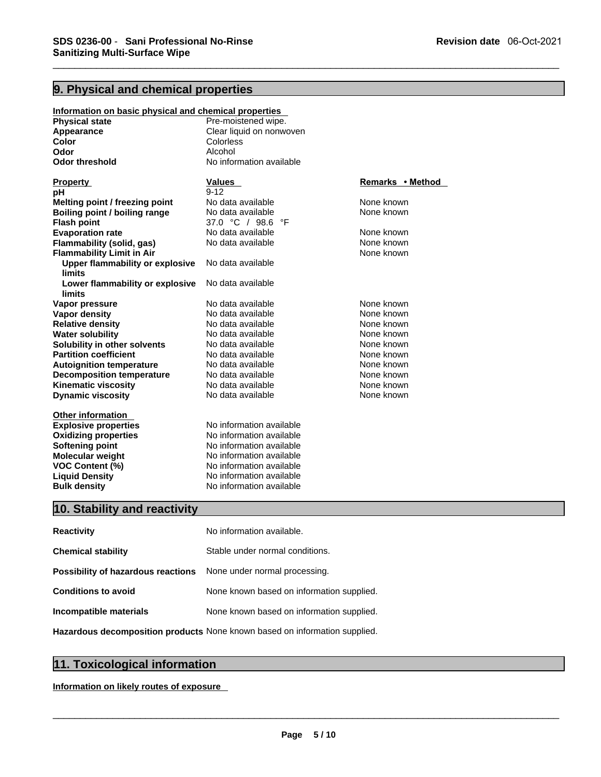| SDS 0236-00 - Sani Professional No-Rinse<br><b>Sanitizing Multi-Surface Wipe</b> |                                                      | <b>Revision date</b> 06-Oct-2021 |  |
|----------------------------------------------------------------------------------|------------------------------------------------------|----------------------------------|--|
|                                                                                  |                                                      |                                  |  |
|                                                                                  |                                                      |                                  |  |
| 9. Physical and chemical properties                                              |                                                      |                                  |  |
| Information on basic physical and chemical properties                            |                                                      |                                  |  |
| <b>Physical state</b>                                                            | Pre-moistened wipe.                                  |                                  |  |
| Appearance<br>Color                                                              | Clear liquid on nonwoven<br>Colorless                |                                  |  |
| Odor                                                                             | Alcohol                                              |                                  |  |
| <b>Odor threshold</b>                                                            | No information available                             |                                  |  |
| <b>Property</b>                                                                  | <b>Values</b>                                        | Remarks • Method                 |  |
| рH                                                                               | $9 - 12$                                             |                                  |  |
| Melting point / freezing point                                                   | No data available                                    | None known                       |  |
| Boiling point / boiling range                                                    | No data available                                    | None known                       |  |
| <b>Flash point</b>                                                               | 37.0 °C / 98.6 °F                                    |                                  |  |
| <b>Evaporation rate</b><br>Flammability (solid, gas)                             | No data available<br>No data available               | None known<br>None known         |  |
| <b>Flammability Limit in Air</b>                                                 |                                                      | None known                       |  |
| <b>Upper flammability or explosive</b>                                           | No data available                                    |                                  |  |
| limits                                                                           |                                                      |                                  |  |
| Lower flammability or explosive<br>limits                                        | No data available                                    |                                  |  |
| Vapor pressure                                                                   | No data available                                    | None known                       |  |
| Vapor density                                                                    | No data available                                    | None known                       |  |
| <b>Relative density</b>                                                          | No data available                                    | None known                       |  |
| <b>Water solubility</b>                                                          | No data available                                    | None known                       |  |
| Solubility in other solvents                                                     | No data available                                    | None known                       |  |
| <b>Partition coefficient</b><br><b>Autoignition temperature</b>                  | No data available<br>No data available               | None known<br>None known         |  |
| <b>Decomposition temperature</b>                                                 | No data available                                    | None known                       |  |
| <b>Kinematic viscosity</b>                                                       | No data available                                    | None known                       |  |
| <b>Dynamic viscosity</b>                                                         | No data available                                    | None known                       |  |
| <b>Other information</b>                                                         |                                                      |                                  |  |
| <b>Explosive properties</b>                                                      | No information available                             |                                  |  |
| <b>Oxidizing properties</b>                                                      | No information available                             |                                  |  |
| <b>Softening point</b>                                                           | No information available                             |                                  |  |
| Molecular weight<br>VOC Content (%)                                              | No information available<br>No information available |                                  |  |
| <b>Liquid Density</b>                                                            | No information available                             |                                  |  |
| <b>Bulk density</b>                                                              | No information available                             |                                  |  |
| 10. Stability and reactivity                                                     |                                                      |                                  |  |
|                                                                                  |                                                      |                                  |  |
| <b>Reactivity</b>                                                                | No information available.                            |                                  |  |
| <b>Chemical stability</b>                                                        | Stable under normal conditions.                      |                                  |  |

| ычини реноку<br><b>Bulk density</b>                                        | 10 THULLIU DI LUXULUUDIU<br>No information available |  |  |  |
|----------------------------------------------------------------------------|------------------------------------------------------|--|--|--|
| 10. Stability and reactivity                                               |                                                      |  |  |  |
| <b>Reactivity</b>                                                          | No information available.                            |  |  |  |
| <b>Chemical stability</b>                                                  | Stable under normal conditions.                      |  |  |  |
| Possibility of hazardous reactions                                         | None under normal processing.                        |  |  |  |
| <b>Conditions to avoid</b>                                                 | None known based on information supplied.            |  |  |  |
| Incompatible materials                                                     | None known based on information supplied.            |  |  |  |
| Hazardous decomposition products None known based on information supplied. |                                                      |  |  |  |
|                                                                            |                                                      |  |  |  |
| 11. Toxicological information                                              |                                                      |  |  |  |
| Information on likely routes of exposure                                   |                                                      |  |  |  |
|                                                                            |                                                      |  |  |  |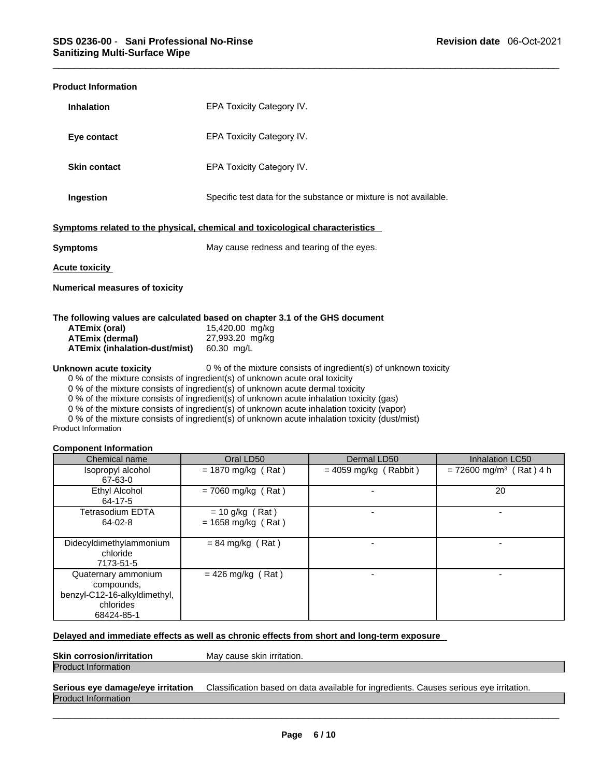| <b>Product Information</b>                                                                                                                                                                                                                                                                                                                                                                                                                                                                                                                                                        |                                                                                                                    |  |  |
|-----------------------------------------------------------------------------------------------------------------------------------------------------------------------------------------------------------------------------------------------------------------------------------------------------------------------------------------------------------------------------------------------------------------------------------------------------------------------------------------------------------------------------------------------------------------------------------|--------------------------------------------------------------------------------------------------------------------|--|--|
| <b>Inhalation</b>                                                                                                                                                                                                                                                                                                                                                                                                                                                                                                                                                                 | EPA Toxicity Category IV.                                                                                          |  |  |
| Eye contact                                                                                                                                                                                                                                                                                                                                                                                                                                                                                                                                                                       | EPA Toxicity Category IV.                                                                                          |  |  |
| <b>Skin contact</b>                                                                                                                                                                                                                                                                                                                                                                                                                                                                                                                                                               | EPA Toxicity Category IV.                                                                                          |  |  |
| Ingestion                                                                                                                                                                                                                                                                                                                                                                                                                                                                                                                                                                         | Specific test data for the substance or mixture is not available.                                                  |  |  |
|                                                                                                                                                                                                                                                                                                                                                                                                                                                                                                                                                                                   | Symptoms related to the physical, chemical and toxicological characteristics                                       |  |  |
| <b>Symptoms</b>                                                                                                                                                                                                                                                                                                                                                                                                                                                                                                                                                                   | May cause redness and tearing of the eyes.                                                                         |  |  |
| <b>Acute toxicity</b>                                                                                                                                                                                                                                                                                                                                                                                                                                                                                                                                                             |                                                                                                                    |  |  |
| <b>Numerical measures of toxicity</b>                                                                                                                                                                                                                                                                                                                                                                                                                                                                                                                                             |                                                                                                                    |  |  |
| <b>ATEmix (oral)</b><br><b>ATEmix (dermal)</b><br>ATEmix (inhalation-dust/mist) 60.30 mg/L                                                                                                                                                                                                                                                                                                                                                                                                                                                                                        | The following values are calculated based on chapter 3.1 of the GHS document<br>15,420.00 mg/kg<br>27,993.20 mg/kg |  |  |
| Unknown acute toxicity<br>0 % of the mixture consists of ingredient(s) of unknown toxicity<br>0 % of the mixture consists of ingredient(s) of unknown acute oral toxicity<br>0 % of the mixture consists of ingredient(s) of unknown acute dermal toxicity<br>0 % of the mixture consists of ingredient(s) of unknown acute inhalation toxicity (gas)<br>0 % of the mixture consists of ingredient(s) of unknown acute inhalation toxicity (vapor)<br>0 % of the mixture consists of ingredient(s) of unknown acute inhalation toxicity (dust/mist)<br><b>Product Information</b> |                                                                                                                    |  |  |

# **Component Information**

| Chemical name                |                                                                                              | Oral LD50                                 | Dermal LD50             | <b>Inhalation LC50</b>                |
|------------------------------|----------------------------------------------------------------------------------------------|-------------------------------------------|-------------------------|---------------------------------------|
| Isopropyl alcohol<br>67-63-0 |                                                                                              | $= 1870$ mg/kg (Rat)                      | $= 4059$ mg/kg (Rabbit) | $= 72600$ mg/m <sup>3</sup> (Rat) 4 h |
|                              | Ethyl Alcohol<br>64-17-5                                                                     | $= 7060$ mg/kg (Rat)                      |                         | 20                                    |
|                              | Tetrasodium EDTA<br>64-02-8                                                                  | $= 10$ g/kg (Rat)<br>$= 1658$ mg/kg (Rat) |                         |                                       |
|                              | Didecyldimethylammonium<br>chloride<br>7173-51-5                                             | $= 84$ mg/kg (Rat)                        |                         |                                       |
|                              | Quaternary ammonium<br>compounds,<br>benzyl-C12-16-alkyldimethyl,<br>chlorides<br>68424-85-1 | $= 426$ mg/kg (Rat)                       |                         |                                       |

# **Delayed and immediate effects as well as chronic effects from short and long-term exposure**

# **Skin corrosion/irritation May cause skin irritation.** Product Information

# **Serious eye damage/eye irritation** Classification based on data available for ingredients. Causes serious eye irritation. Product Information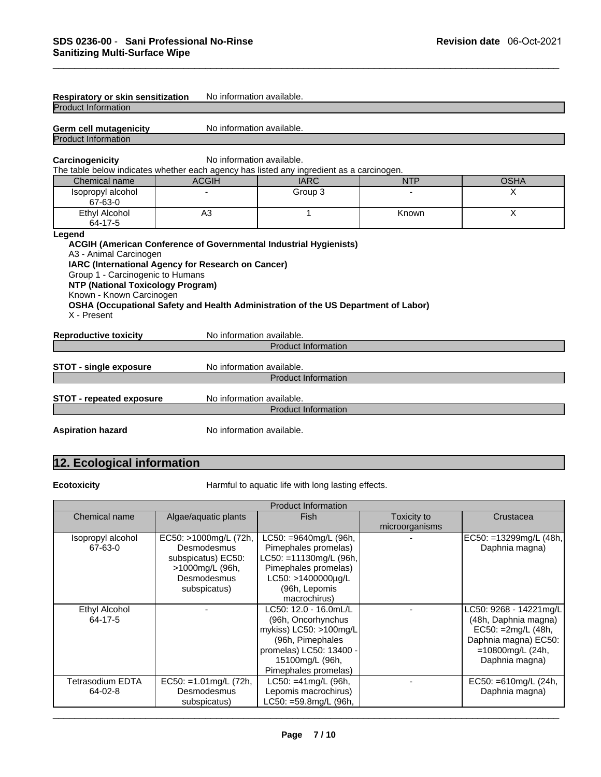| Respiratory or skin sensitization                                                                                                                 | No information available.                                                                                                                                                                                            |                                                    |       |             |
|---------------------------------------------------------------------------------------------------------------------------------------------------|----------------------------------------------------------------------------------------------------------------------------------------------------------------------------------------------------------------------|----------------------------------------------------|-------|-------------|
| <b>Product Information</b>                                                                                                                        |                                                                                                                                                                                                                      |                                                    |       |             |
| Germ cell mutagenicity<br><b>Product Information</b>                                                                                              | No information available.                                                                                                                                                                                            |                                                    |       |             |
| Carcinogenicity<br>The table below indicates whether each agency has listed any ingredient as a carcinogen.                                       | No information available.                                                                                                                                                                                            |                                                    |       |             |
| Chemical name                                                                                                                                     | <b>ACGIH</b>                                                                                                                                                                                                         | <b>IARC</b>                                        |       | <b>OSHA</b> |
| Isopropyl alcohol<br>67-63-0                                                                                                                      |                                                                                                                                                                                                                      | Group 3                                            |       | X           |
| Ethyl Alcohol<br>64-17-5                                                                                                                          | A <sub>3</sub>                                                                                                                                                                                                       | 1                                                  | Known | X           |
| A3 - Animal Carcinogen<br>Group 1 - Carcinogenic to Humans<br><b>NTP (National Toxicology Program)</b><br>Known - Known Carcinogen<br>X - Present | <b>ACGIH (American Conference of Governmental Industrial Hygienists)</b><br>IARC (International Agency for Research on Cancer)<br>OSHA (Occupational Safety and Health Administration of the US Department of Labor) |                                                    |       |             |
| <b>Reproductive toxicity</b>                                                                                                                      | No information available.                                                                                                                                                                                            |                                                    |       |             |
|                                                                                                                                                   |                                                                                                                                                                                                                      | <b>Product Information</b>                         |       |             |
| <b>STOT - single exposure</b>                                                                                                                     | No information available.                                                                                                                                                                                            | <b>Product Information</b>                         |       |             |
| <b>STOT - repeated exposure</b>                                                                                                                   | No information available.                                                                                                                                                                                            | <b>Product Information</b>                         |       |             |
| <b>Aspiration hazard</b>                                                                                                                          | No information available.                                                                                                                                                                                            |                                                    |       |             |
| 12. Ecological information                                                                                                                        |                                                                                                                                                                                                                      |                                                    |       |             |
| <b>Ecotoxicity</b>                                                                                                                                |                                                                                                                                                                                                                      | Harmful to aquatic life with long lasting effects. |       |             |
|                                                                                                                                                   |                                                                                                                                                                                                                      | <b>Product Information</b>                         |       |             |

| <b>Product Information</b> |                           |                          |                |                         |  |  |
|----------------------------|---------------------------|--------------------------|----------------|-------------------------|--|--|
| Chemical name              | Algae/aquatic plants      | <b>Fish</b>              | Toxicity to    | Crustacea               |  |  |
|                            |                           |                          | microorganisms |                         |  |  |
| Isopropyl alcohol          | EC50: >1000mg/L (72h,     | $LC50: = 9640mg/L$ (96h, |                | EC50: =13299mg/L (48h,  |  |  |
| 67-63-0                    | Desmodesmus               | Pimephales promelas)     |                | Daphnia magna)          |  |  |
|                            | subspicatus) EC50:        | LC50: =11130mg/L (96h,   |                |                         |  |  |
|                            | >1000mg/L (96h,           | Pimephales promelas)     |                |                         |  |  |
|                            | Desmodesmus               | LC50: >1400000µg/L       |                |                         |  |  |
|                            | subspicatus)              | (96h, Lepomis            |                |                         |  |  |
|                            |                           | macrochirus)             |                |                         |  |  |
| <b>Ethyl Alcohol</b>       |                           | LC50: 12.0 - 16.0mL/L    |                | LC50: 9268 - 14221mg/L  |  |  |
| 64-17-5                    |                           | (96h, Oncorhynchus       |                | (48h, Daphnia magna)    |  |  |
|                            |                           | mykiss) LC50: >100mg/L   |                | EC50: = 2mg/L (48h,     |  |  |
|                            |                           | (96h, Pimephales         |                | Daphnia magna) EC50:    |  |  |
|                            |                           | promelas) LC50: 13400 -  |                | $=10800$ mg/L (24h,     |  |  |
|                            |                           | 15100mg/L (96h,          |                | Daphnia magna)          |  |  |
|                            |                           | Pimephales promelas)     |                |                         |  |  |
| Tetrasodium EDTA           | $EC50: = 1.01$ mg/L (72h, | $LC50: = 41$ mg/L (96h,  |                | EC50: $=610$ mg/L (24h, |  |  |
| 64-02-8                    | Desmodesmus               | Lepomis macrochirus)     |                | Daphnia magna)          |  |  |
|                            | subspicatus)              | LC50: =59.8mg/L (96h,    |                |                         |  |  |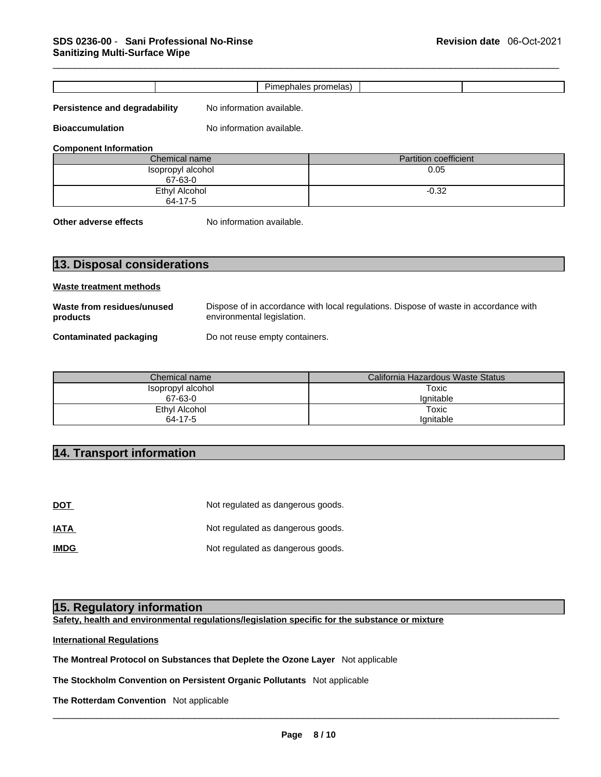|                                                                          |                                | Pimephales promelas)                                                                 |  |  |  |  |
|--------------------------------------------------------------------------|--------------------------------|--------------------------------------------------------------------------------------|--|--|--|--|
| <b>Persistence and degradability</b>                                     | No information available.      |                                                                                      |  |  |  |  |
|                                                                          |                                |                                                                                      |  |  |  |  |
| <b>Bioaccumulation</b>                                                   | No information available.      |                                                                                      |  |  |  |  |
| <b>Component Information</b>                                             |                                |                                                                                      |  |  |  |  |
|                                                                          | Chemical name                  | <b>Partition coefficient</b>                                                         |  |  |  |  |
|                                                                          | Isopropyl alcohol<br>67-63-0   | 0.05                                                                                 |  |  |  |  |
|                                                                          | Ethyl Alcohol                  | $-0.32$                                                                              |  |  |  |  |
|                                                                          | 64-17-5                        |                                                                                      |  |  |  |  |
| Other adverse effects                                                    | No information available.      |                                                                                      |  |  |  |  |
|                                                                          |                                |                                                                                      |  |  |  |  |
|                                                                          |                                |                                                                                      |  |  |  |  |
| 13. Disposal considerations                                              |                                |                                                                                      |  |  |  |  |
|                                                                          |                                |                                                                                      |  |  |  |  |
|                                                                          |                                |                                                                                      |  |  |  |  |
|                                                                          |                                |                                                                                      |  |  |  |  |
| <b>Waste treatment methods</b><br>Waste from residues/unused<br>products | environmental legislation.     | Dispose of in accordance with local regulations. Dispose of waste in accordance with |  |  |  |  |
|                                                                          |                                |                                                                                      |  |  |  |  |
|                                                                          | Do not reuse empty containers. |                                                                                      |  |  |  |  |
|                                                                          |                                |                                                                                      |  |  |  |  |
| <b>Contaminated packaging</b>                                            | Chemical name                  | California Hazardous Waste Status                                                    |  |  |  |  |
|                                                                          | Isopropyl alcohol              | <b>Toxic</b>                                                                         |  |  |  |  |
|                                                                          | 67-63-0                        | Ignitable                                                                            |  |  |  |  |
|                                                                          | <b>Ethyl Alcohol</b>           | <b>Toxic</b>                                                                         |  |  |  |  |
|                                                                          | 64-17-5                        | Ignitable                                                                            |  |  |  |  |
| 14. Transport information                                                |                                |                                                                                      |  |  |  |  |

| Chemical name     | California Hazardous Waste Status |
|-------------------|-----------------------------------|
| Isopropyl alcohol | Toxic                             |
| 67-63-0           | lanitable                         |
| Ethyl Alcohol     | Toxic                             |
| 64-17-5           | lanitable                         |

| ט זו דט                          |                                                                                    |
|----------------------------------|------------------------------------------------------------------------------------|
|                                  |                                                                                    |
| 14. Transport information        |                                                                                    |
|                                  |                                                                                    |
|                                  |                                                                                    |
| <b>DOT</b>                       | Not regulated as dangerous goods.                                                  |
| <b>IATA</b>                      | Not regulated as dangerous goods.                                                  |
| <b>IMDG</b>                      | Not regulated as dangerous goods.                                                  |
|                                  |                                                                                    |
|                                  |                                                                                    |
| 15. Regulatory information       |                                                                                    |
|                                  | Safety, health and environmental regulations/legislation specific for the substanc |
| <b>International Regulations</b> |                                                                                    |

**Safety, health and environmental regulations/legislation specific for the substance or mixture**

# **International Regulations**

**The Montreal Protocol on Substances that Deplete the Ozone Layer** Not applicable

**The Stockholm Convention on Persistent Organic Pollutants** Not applicable

**The Rotterdam Convention** Not applicable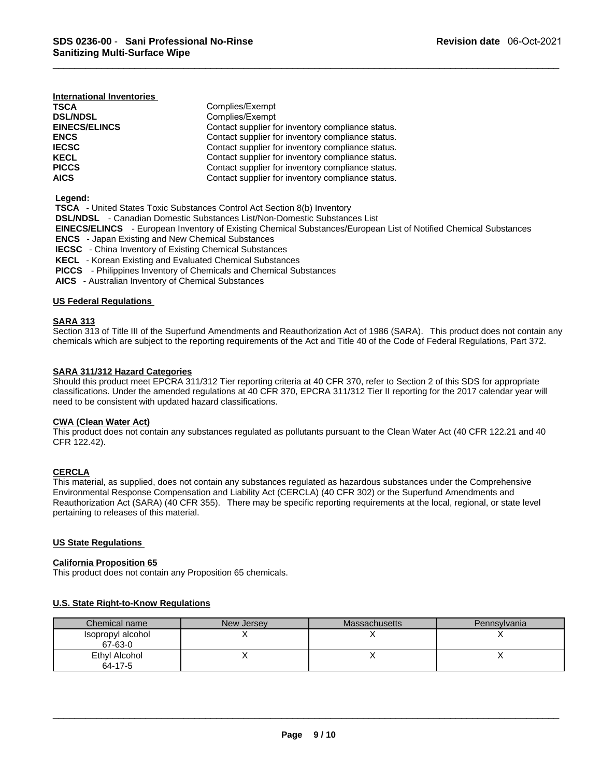| International Inventories |                                                   |
|---------------------------|---------------------------------------------------|
| <b>TSCA</b>               | Complies/Exempt                                   |
| <b>DSL/NDSL</b>           | Complies/Exempt                                   |
| <b>EINECS/ELINCS</b>      | Contact supplier for inventory compliance status. |
| <b>ENCS</b>               | Contact supplier for inventory compliance status. |
| <b>IECSC</b>              | Contact supplier for inventory compliance status. |
| <b>KECL</b>               | Contact supplier for inventory compliance status. |
| <b>PICCS</b>              | Contact supplier for inventory compliance status. |
| <b>AICS</b>               | Contact supplier for inventory compliance status. |

 **Legend:** 

 **TSCA** - United States Toxic Substances Control Act Section 8(b) Inventory

 **DSL/NDSL** - Canadian Domestic Substances List/Non-Domestic Substances List

 **EINECS/ELINCS** - European Inventory of Existing Chemical Substances/European List of Notified Chemical Substances

 **ENCS** - Japan Existing and New Chemical Substances

 **IECSC** - China Inventory of Existing Chemical Substances

 **KECL** - Korean Existing and Evaluated Chemical Substances

 **PICCS** - Philippines Inventory of Chemicals and Chemical Substances

 **AICS** - Australian Inventory of Chemical Substances

# **US Federal Regulations**

# **SARA 313**

Section 313 of Title III of the Superfund Amendments and Reauthorization Act of 1986 (SARA). This product does not contain any chemicals which are subject to the reporting requirements of the Act and Title 40 of the Code of Federal Regulations, Part 372.

# **SARA 311/312 Hazard Categories**

Should this product meet EPCRA 311/312 Tier reporting criteria at 40 CFR 370, refer to Section 2 of this SDS for appropriate classifications. Under the amended regulations at 40 CFR 370, EPCRA 311/312 Tier II reporting for the 2017 calendar year will need to be consistent with updated hazard classifications.

# **CWA (Clean Water Act)**

This product does not contain any substances regulated as pollutants pursuant to the Clean Water Act (40 CFR 122.21 and 40 CFR 122.42).

# **CERCLA**

This material, as supplied, does not contain any substances regulated as hazardous substances under the Comprehensive Environmental Response Compensation and Liability Act (CERCLA) (40 CFR 302) or the Superfund Amendments and Reauthorization Act (SARA) (40 CFR 355). There may be specific reporting requirements at the local, regional, or state level pertaining to releases of this material.

# **US State Regulations**

### **California Proposition 65**

This product does not contain any Proposition 65 chemicals.

# **U.S. State Right-to-Know Regulations**

| Chemical name                | New Jersey | <b>Massachusetts</b> | <b>Pennsylvania</b> |
|------------------------------|------------|----------------------|---------------------|
| Isopropyl alcohol<br>67-63-0 |            |                      |                     |
| Ethyl Alcohol<br>64-17-5     |            |                      |                     |